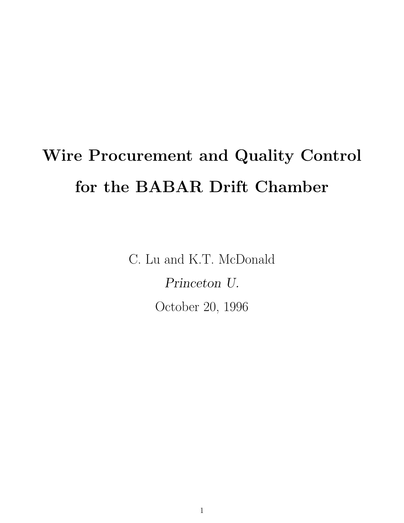# Wire Procurement and Quality Control for the BABAR Drift Chamber

C. Lu and K.T. McDonald Princeton U. October 20, 1996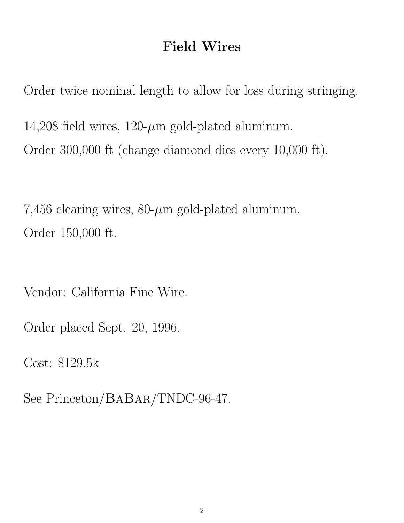### Field Wires

Order twice nominal length to allow for loss during stringing. 14,208 field wires,  $120$ - $\mu$ m gold-plated aluminum. Order 300,000 ft (change diamond dies every 10,000 ft).

7,456 clearing wires,  $80-\mu m$  gold-plated aluminum. Order 150,000 ft.

Vendor: California Fine Wire.

Order placed Sept. 20, 1996.

Cost: \$129.5k

See Princeton/BABAR/TNDC-96-47.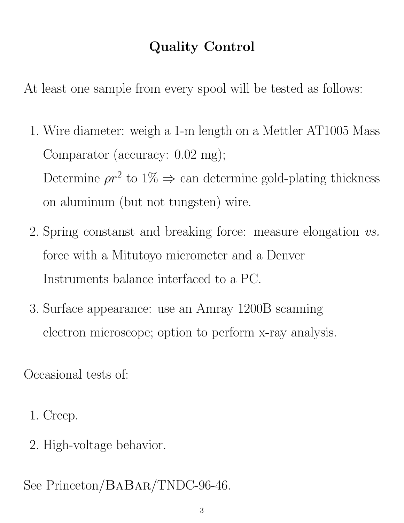## Quality Control

At least one sample from every spool will be tested as follows:

- 1. Wire diameter: weigh a 1-m length on a Mettler AT1005 Mass Comparator (accuracy: 0.02 mg); Determine  $\rho r^2$  to  $1\% \Rightarrow$  can determine gold-plating thickness on aluminum (but not tungsten) wire.
- 2. Spring constanst and breaking force: measure elongation vs. force with a Mitutoyo micrometer and a Denver Instruments balance interfaced to a PC.
- 3. Surface appearance: use an Amray 1200B scanning electron microscope; option to perform x-ray analysis.

Occasional tests of:

- 1. Creep.
- 2. High-voltage behavior.

See Princeton/BABAR/TNDC-96-46.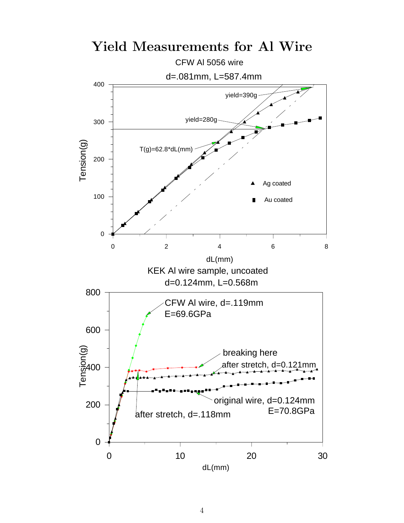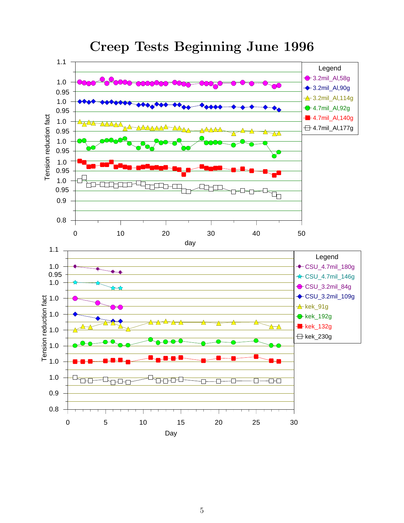

#### Creep Tests Beginning June 1996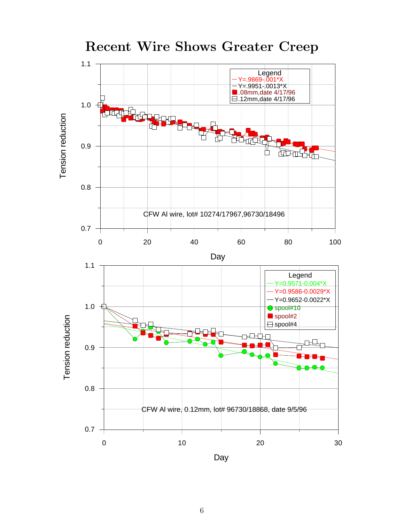



6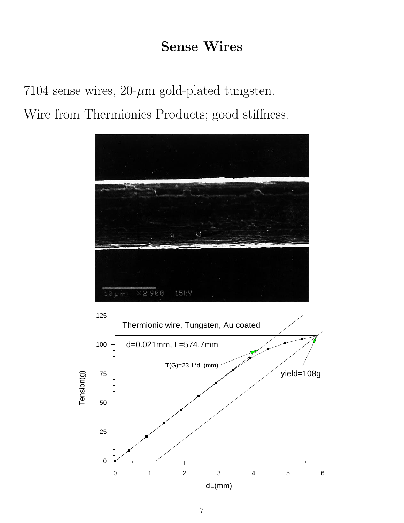#### Sense Wires

7104 sense wires,  $20$ - $\mu$ m gold-plated tungsten. Wire from Thermionics Products; good stiffness.

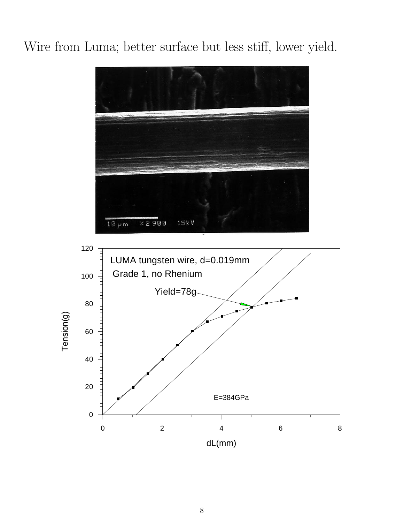## Wire from Luma; better surface but less stiff, lower yield.